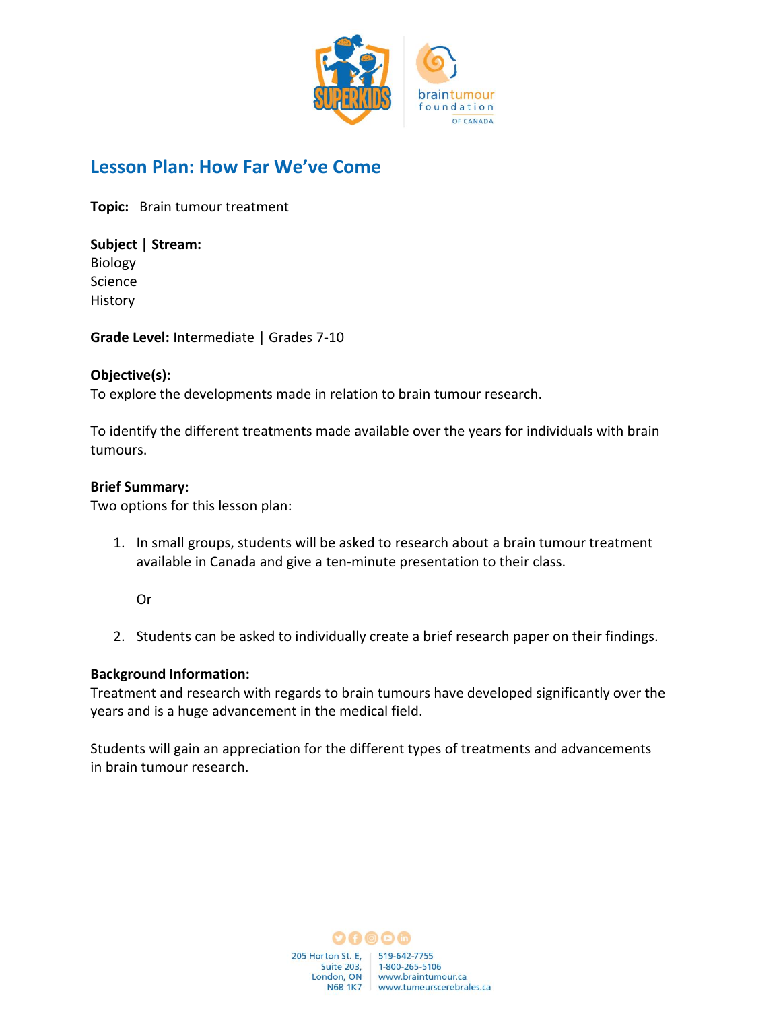

# **Lesson Plan: How Far We've Come**

**Topic:**   Brain tumour treatment

**Subject | Stream:**  Biology

Science History

**Grade Level:** Intermediate | Grades 7-10 

#### **Objective(s):**

To explore the developments made in relation to brain tumour research.

To identify the different treatments made available over the years for individuals with brain tumours.

#### **Brief Summary:**

Two options for this lesson plan:

- 1. In small groups, students will be asked to research about a brain tumour treatment available in Canada and give a ten-minute presentation to their class.
	- Or
- 2. Students can be asked to individually create a brief research paper on their findings.

#### **Background Information:**

Treatment and research with regards to brain tumours have developed significantly over the years and is a huge advancement in the medical field.

Students will gain an appreciation for the different types of treatments and advancements in brain tumour research.

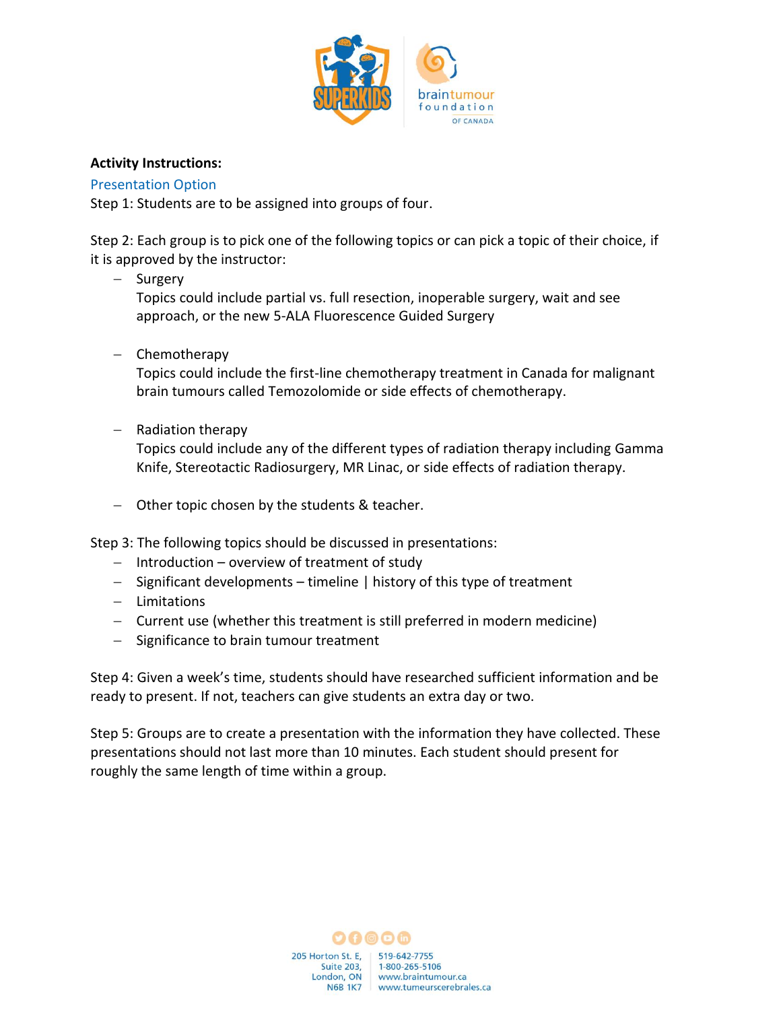

## **Activity Instructions:**

### Presentation Option

Step 1: Students are to be assigned into groups of four.

Step 2: Each group is to pick one of the following topics or can pick a topic of their choice, if it is approved by the instructor:

− Surgery

Topics could include partial vs. full resection, inoperable surgery, wait and see approach, or the new 5-ALA Fluorescence Guided Surgery

− Chemotherapy

Topics could include the first-line chemotherapy treatment in Canada for malignant brain tumours called Temozolomide or side effects of chemotherapy.

− Radiation therapy

Topics could include any of the different types of radiation therapy including Gamma Knife, Stereotactic Radiosurgery, MR Linac, or side effects of radiation therapy.

− Other topic chosen by the students & teacher.

Step 3: The following topics should be discussed in presentations:

- − Introduction overview of treatment of study
- − Significant developments timeline | history of this type of treatment
- − Limitations
- − Current use (whether this treatment is still preferred in modern medicine)
- − Significance to brain tumour treatment

Step 4: Given a week's time, students should have researched sufficient information and be ready to present. If not, teachers can give students an extra day or two.

Step 5: Groups are to create a presentation with the information they have collected. These presentations should not last more than 10 minutes. Each student should present for roughly the same length of time within a group.